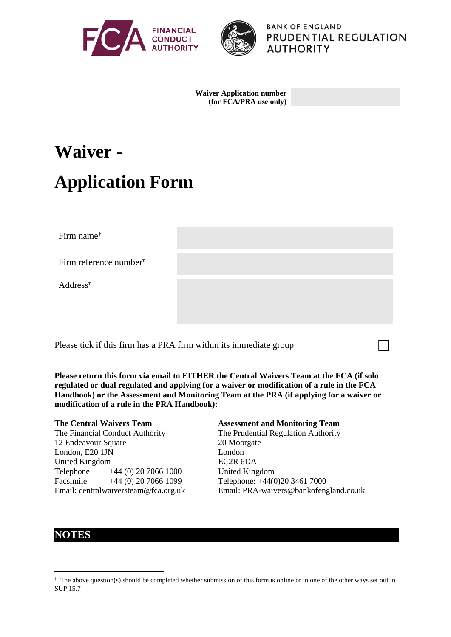



**BANK OF ENGLAND PRUDENTIAL REGULATION AUTHORITY** 

**Waiver Application number (for FCA/PRA use only)**

# **Waiver - Application Form**

Firm name[†](#page-0-0)

Firm reference number†

Address†

Please tick if this firm has a PRA firm within its immediate group

**Please return this form via email to EITHER the Central Waivers Team at the FCA (if solo regulated or dual regulated and applying for a waiver or modification of a rule in the FCA Handbook) or the Assessment and Monitoring Team at the PRA (if applying for a waiver or modification of a rule in the PRA Handbook):**

**The Central Waivers Team Assessment and Monitoring Team** The Financial Conduct Authority The Prudential Regulation Authority 12 Endeavour Square 20 Moorgate London, E20 1JN London United Kingdom EC2R 6DA Telephone +44 (0) 20 7066 1000 United Kingdom Facsimile +44 (0) 20 7066 1099 Telephone: +44(0)20 3461 7000 Email: centralwaiversteam@fca.org.uk Email: PRA-waivers@bankofengland.co.uk

### **NOTES**

<span id="page-0-0"></span> $\dagger$  The above question(s) should be completed whether submission of this form is online or in one of the other ways set out in SUP 15.7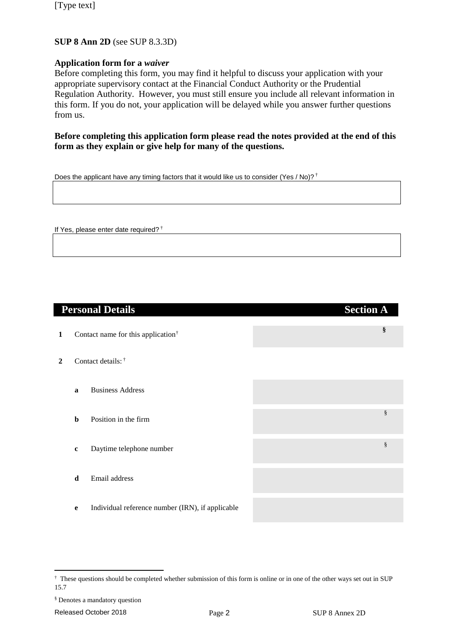#### **SUP 8 Ann 2D** (see SUP 8.3.3D)

#### **Application form for a** *waiver*

Before completing this form, you may find it helpful to discuss your application with your appropriate supervisory contact at the Financial Conduct Authority or the Prudential Regulation Authority. However, you must still ensure you include all relevant information in this form. If you do not, your application will be delayed while you answer further questions from us.

**Before completing this application form please read the notes provided at the end of this form as they explain or give help for many of the questions.**

Does the applicant have any timing factors that it would like us to consider (Yes / No)?<sup>†</sup>

If Yes, please enter date required? †

|              |             | <b>Personal Details</b>                          | <b>Section A</b> |  |  |
|--------------|-------------|--------------------------------------------------|------------------|--|--|
| 1            |             | Contact name for this application <sup>†</sup>   | §                |  |  |
| $\mathbf{2}$ |             | Contact details: †                               |                  |  |  |
|              | a           | <b>Business Address</b>                          |                  |  |  |
|              | $\mathbf b$ | Position in the firm                             | $\S$             |  |  |
|              | $\mathbf c$ | Daytime telephone number                         | $\S$             |  |  |
|              | $\mathbf d$ | Email address                                    |                  |  |  |
|              | e           | Individual reference number (IRN), if applicable |                  |  |  |

<span id="page-1-0"></span> <sup>†</sup> These questions should be completed whether submission of this form is online or in one of the other ways set out in SUP 15.7

<span id="page-1-1"></span><sup>§</sup> Denotes a mandatory question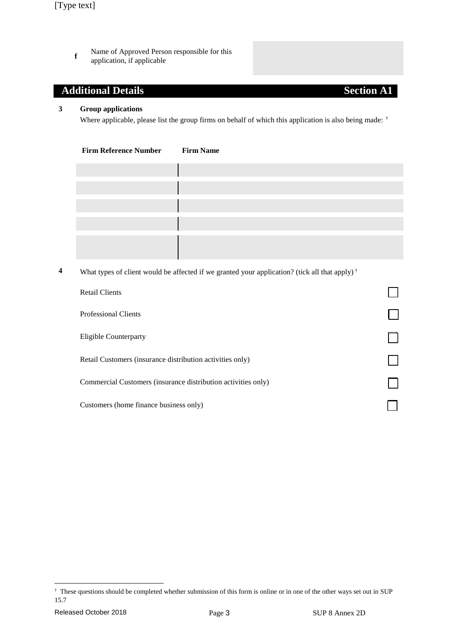**f** Name of Approved Person responsible for this application, if applicable

### **Additional Details Section A1**

#### **3 Group applications**

Where applicable, please list the group firms on behalf of which this application is also being made: [†](#page-2-0)

| <b>Firm Reference Number</b> | <b>Firm Name</b> |
|------------------------------|------------------|
|                              |                  |
|                              |                  |
|                              |                  |
|                              |                  |
|                              |                  |
|                              |                  |
|                              |                  |
|                              |                  |
|                              |                  |

**4** What types of client would be affected if we granted your application? (tick all that apply) †

| <b>Retail Clients</b>                                         |  |
|---------------------------------------------------------------|--|
| <b>Professional Clients</b>                                   |  |
| Eligible Counterparty                                         |  |
| Retail Customers (insurance distribution activities only)     |  |
| Commercial Customers (insurance distribution activities only) |  |
| Customers (home finance business only)                        |  |

<span id="page-2-0"></span> <sup>†</sup> These questions should be completed whether submission of this form is online or in one of the other ways set out in SUP 15.7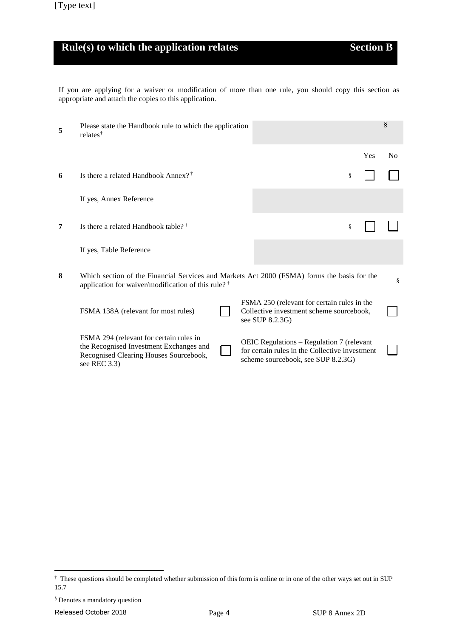# **Rule(s) to which the application relates Section B**

If you are applying for a waiver or modification of more than one rule, you should copy this section as appropriate and attach the copies to this application.

| 5 | Please state the Handbook rule to which the application<br>relates <sup>†</sup>                                                                               |  |                                                                                                                                   | § |     |                |
|---|---------------------------------------------------------------------------------------------------------------------------------------------------------------|--|-----------------------------------------------------------------------------------------------------------------------------------|---|-----|----------------|
|   |                                                                                                                                                               |  |                                                                                                                                   |   | Yes | N <sub>0</sub> |
| 6 | Is there a related Handbook Annex? <sup>†</sup>                                                                                                               |  |                                                                                                                                   | ş |     |                |
|   | If yes, Annex Reference                                                                                                                                       |  |                                                                                                                                   |   |     |                |
| 7 | Is there a related Handbook table? <sup>†</sup>                                                                                                               |  |                                                                                                                                   | ş |     |                |
|   | If yes, Table Reference                                                                                                                                       |  |                                                                                                                                   |   |     |                |
| 8 | Which section of the Financial Services and Markets Act 2000 (FSMA) forms the basis for the<br>application for waiver/modification of this rule? <sup>†</sup> |  |                                                                                                                                   |   |     | ş              |
|   | FSMA 138A (relevant for most rules)                                                                                                                           |  | FSMA 250 (relevant for certain rules in the<br>Collective investment scheme sourcebook,<br>see SUP 8.2.3G)                        |   |     |                |
|   | FSMA 294 (relevant for certain rules in<br>the Recognised Investment Exchanges and<br>Recognised Clearing Houses Sourcebook,<br>see REC 3.3)                  |  | OEIC Regulations - Regulation 7 (relevant<br>for certain rules in the Collective investment<br>scheme sourcebook, see SUP 8.2.3G) |   |     |                |

<span id="page-3-0"></span> <sup>†</sup> These questions should be completed whether submission of this form is online or in one of the other ways set out in SUP 15.7

<span id="page-3-1"></span><sup>§</sup> Denotes a mandatory question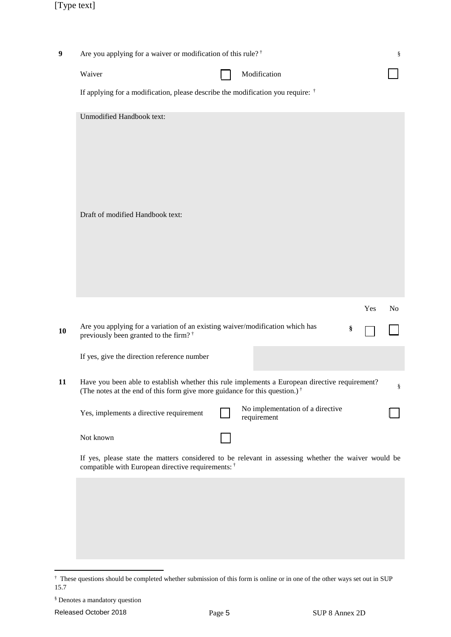| $\boldsymbol{9}$ | Are you applying for a waiver or modification of this rule? <sup>†</sup>                                                                                                                 |  |                                                 | ş   |                |
|------------------|------------------------------------------------------------------------------------------------------------------------------------------------------------------------------------------|--|-------------------------------------------------|-----|----------------|
|                  | Waiver                                                                                                                                                                                   |  | Modification                                    |     |                |
|                  | If applying for a modification, please describe the modification you require: $\dagger$                                                                                                  |  |                                                 |     |                |
|                  | <b>Unmodified Handbook text:</b>                                                                                                                                                         |  |                                                 |     |                |
|                  | Draft of modified Handbook text:                                                                                                                                                         |  |                                                 |     |                |
|                  |                                                                                                                                                                                          |  |                                                 | Yes | N <sub>o</sub> |
| 10               | Are you applying for a variation of an existing waiver/modification which has<br>previously been granted to the firm? <sup>†</sup>                                                       |  |                                                 | §   |                |
|                  | If yes, give the direction reference number                                                                                                                                              |  |                                                 |     |                |
| 11               | Have you been able to establish whether this rule implements a European directive requirement?<br>(The notes at the end of this form give more guidance for this question.) <sup>†</sup> |  |                                                 |     | ş              |
|                  | Yes, implements a directive requirement                                                                                                                                                  |  | No implementation of a directive<br>requirement |     |                |
|                  | Not known                                                                                                                                                                                |  |                                                 |     |                |
|                  | If yes, please state the matters considered to be relevant in assessing whether the waiver would be<br>compatible with European directive requirements: †                                |  |                                                 |     |                |
|                  |                                                                                                                                                                                          |  |                                                 |     |                |
|                  |                                                                                                                                                                                          |  |                                                 |     |                |

<span id="page-4-0"></span>These questions should be completed whether submission of this form is online or in one of the other ways set out in SUP 15.7

<sup>§</sup> Denotes a mandatory question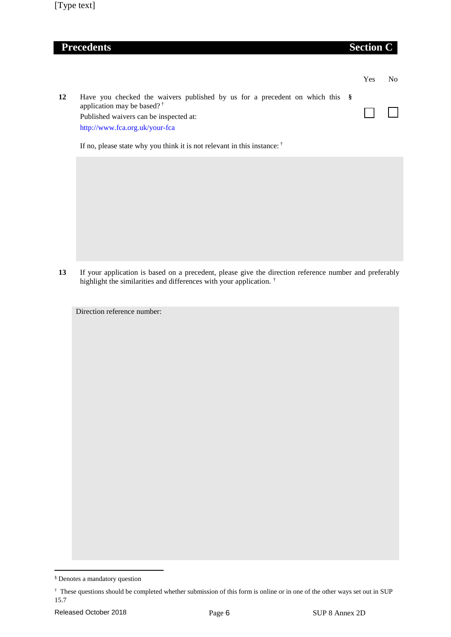### **Precedents Section C**

|    |                                                                                                                                                                                                    | Yes | Nο |
|----|----------------------------------------------------------------------------------------------------------------------------------------------------------------------------------------------------|-----|----|
| 12 | Have you checked the waivers published by us for a precedent on which this $\S$<br>application may be based? $\dagger$<br>Published waivers can be inspected at:<br>http://www.fca.org.uk/your-fca |     |    |
|    | If no, please state why you think it is not relevant in this instance: $\dagger$                                                                                                                   |     |    |

**13** If your application is based on a precedent, please give the direction reference number and preferably highlight the similarities and differences with your application.<sup>[†](#page-5-0)</sup>

Direction reference number:

 <sup>§</sup> Denotes a mandatory question

<span id="page-5-0"></span><sup>†</sup> These questions should be completed whether submission of this form is online or in one of the other ways set out in SUP 15.7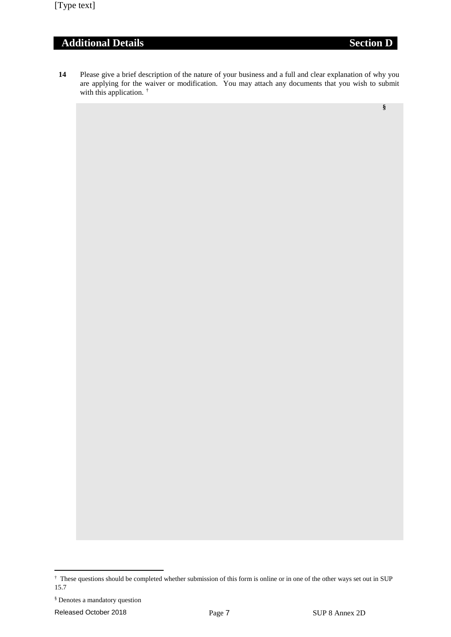## **Additional Details Section D**

**14** Please give a brief description of the nature of your business and a full and clear explanation of why you are applying for the waiver or modification. You may attach any documents that you wish to submit with this application.<sup>[†](#page-6-0)</sup>

**[§](#page-6-1)**

<span id="page-6-0"></span> <sup>†</sup> These questions should be completed whether submission of this form is online or in one of the other ways set out in SUP 15.7

<span id="page-6-1"></span><sup>§</sup> Denotes a mandatory question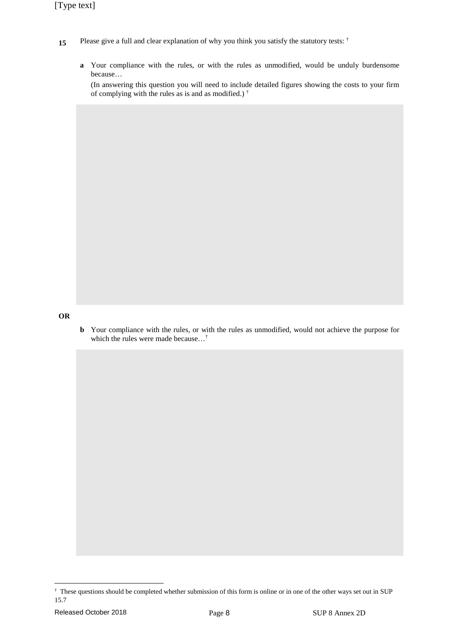- 15 Please give a full and clear explanation of why you think you satisfy the statutory tests:  $\dagger$ 
	- **a** Your compliance with the rules, or with the rules as unmodified, would be unduly burdensome because…

(In answering this question you will need to include detailed figures showing the costs to your firm of complying with the rules as is and as modified.) †

#### **OR**

**b** Your compliance with the rules, or with the rules as unmodified, would not achieve the purpose for which the rules were made because…†

<span id="page-7-0"></span> <sup>†</sup> These questions should be completed whether submission of this form is online or in one of the other ways set out in SUP 15.7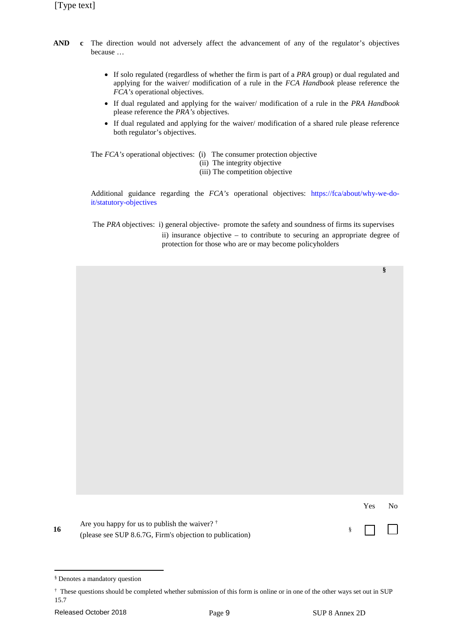- **AND c** The direction would not adversely affect the advancement of any of the regulator's objectives because …
	- If solo regulated (regardless of whether the firm is part of a *PRA* group) or dual regulated and applying for the waiver/ modification of a rule in the *FCA Handbook* please reference the *FCA's* operational objectives.
	- If dual regulated and applying for the waiver/ modification of a rule in the *PRA Handbook* please reference the *PRA's* objectives.
	- If dual regulated and applying for the waiver/ modification of a shared rule please reference both regulator's objectives.

The *FCA's* operational objectives: (i) The consumer protection objective

(ii) The integrity objective

(iii) The competition objective

Additional guidance regarding the *FCA's* operational objectives: https://fca/about/why-we-doit/statutory-objectives

The *PRA* objectives: i) general objective- promote the safety and soundness of firms its supervises ii) insurance objective – to contribute to securing an appropriate degree of protection for those who are or may become policyholders

|    |                                                          | Yes        | No. |
|----|----------------------------------------------------------|------------|-----|
| 16 | Are you happy for us to publish the waiver? $\dagger$    | $\sqrt{2}$ |     |
|    | (please see SUP 8.6.7G, Firm's objection to publication) |            |     |

<span id="page-8-0"></span> <sup>§</sup> Denotes a mandatory question

<sup>†</sup> These questions should be completed whether submission of this form is online or in one of the other ways set out in SUP 15.7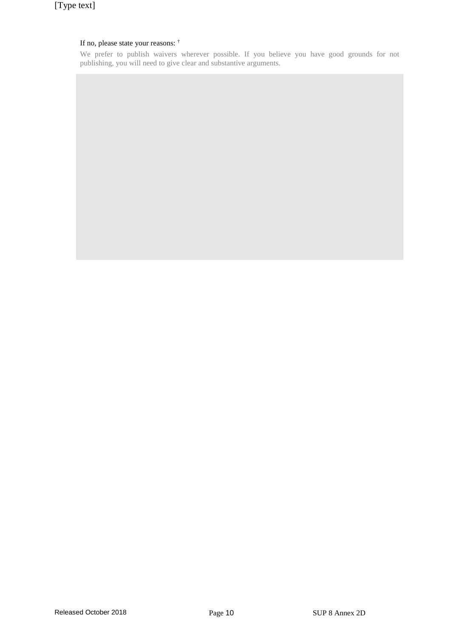### If no, please state your reasons: †

We prefer to publish waivers wherever possible. If you believe you have good grounds for not publishing, you will need to give clear and substantive arguments.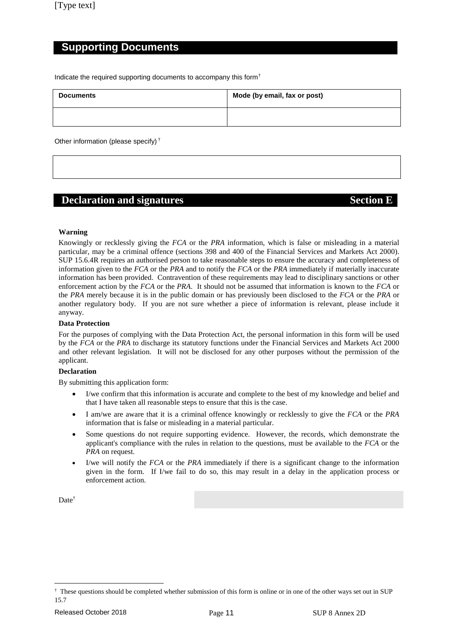### **Supporting Documents**

Indicate the required supporting documents to accompany this form[†](#page-10-0)

| <b>Documents</b> | Mode (by email, fax or post) |  |  |
|------------------|------------------------------|--|--|
|                  |                              |  |  |

Other information (please specify) †

### **Declaration and signatures Section E**

#### **Warning**

Knowingly or recklessly giving the *FCA* or the *PRA* information, which is false or misleading in a material particular, may be a criminal offence (sections 398 and 400 of the Financial Services and Markets Act 2000). SUP 15.6.4R requires an authorised person to take reasonable steps to ensure the accuracy and completeness of information given to the *FCA* or the *PRA* and to notify the *FCA* or the *PRA* immediately if materially inaccurate information has been provided. Contravention of these requirements may lead to disciplinary sanctions or other enforcement action by the *FCA* or the *PRA*. It should not be assumed that information is known to the *FCA* or the *PRA* merely because it is in the public domain or has previously been disclosed to the *FCA* or the *PRA* or another regulatory body. If you are not sure whether a piece of information is relevant, please include it anyway.

#### **Data Protection**

For the purposes of complying with the Data Protection Act, the personal information in this form will be used by the *FCA* or the *PRA* to discharge its statutory functions under the Financial Services and Markets Act 2000 and other relevant legislation. It will not be disclosed for any other purposes without the permission of the applicant.

#### **Declaration**

By submitting this application form:

- I/we confirm that this information is accurate and complete to the best of my knowledge and belief and that I have taken all reasonable steps to ensure that this is the case.
- I am/we are aware that it is a criminal offence knowingly or recklessly to give the *FCA* or the *PRA* information that is false or misleading in a material particular.
- Some questions do not require supporting evidence. However, the records, which demonstrate the applicant's compliance with the rules in relation to the questions, must be available to the *FCA* or the *PRA* on request.
- I/we will notify the *FCA* or the *PRA* immediately if there is a significant change to the information given in the form. If I/we fail to do so, this may result in a delay in the application process or enforcement action.

Date<sup>†</sup>

<span id="page-10-0"></span> $\dagger$  These questions should be completed whether submission of this form is online or in one of the other ways set out in SUP 15.7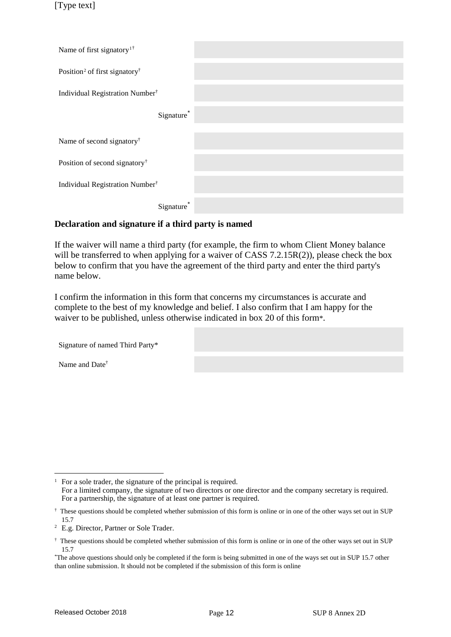[Type text]

| Name of first signatory <sup>1†</sup>                 |  |
|-------------------------------------------------------|--|
| Position <sup>2</sup> of first signatory <sup>†</sup> |  |
| Individual Registration Number <sup>†</sup>           |  |
| Signature <sup>*</sup>                                |  |
| Name of second signatory <sup>†</sup>                 |  |
| Position of second signatory <sup>†</sup>             |  |
| Individual Registration Number <sup>†</sup>           |  |
| Signature                                             |  |

#### **Declaration and signature if a third party is named**

If the waiver will name a third party (for example, the firm to whom Client Money balance will be transferred to when applying for a waiver of CASS 7.2.15R(2)), please check the box below to confirm that you have the agreement of the third party and enter the third party's name below.

I confirm the information in this form that concerns my circumstances is accurate and complete to the best of my knowledge and belief. I also confirm that I am happy for the waiver to be published, unless otherwise indicated in box 20 of this form\*.

| Signature of named Third Party* |  |
|---------------------------------|--|
| Name and Date <sup>†</sup>      |  |

<span id="page-11-0"></span><sup>&</sup>lt;sup>1</sup> For a sole trader, the signature of the principal is required.

For a limited company, the signature of two directors or one director and the company secretary is required. For a partnership, the signature of at least one partner is required.

<span id="page-11-1"></span><sup>†</sup> These questions should be completed whether submission of this form is online or in one of the other ways set out in SUP 15.7

<span id="page-11-2"></span><sup>2</sup> E.g. Director, Partner or Sole Trader.

<span id="page-11-3"></span><sup>†</sup> These questions should be completed whether submission of this form is online or in one of the other ways set out in SUP 15.7

<span id="page-11-5"></span><span id="page-11-4"></span><sup>\*</sup>The above questions should only be completed if the form is being submitted in one of the ways set out in SUP 15.7 other than online submission. It should not be completed if the submission of this form is online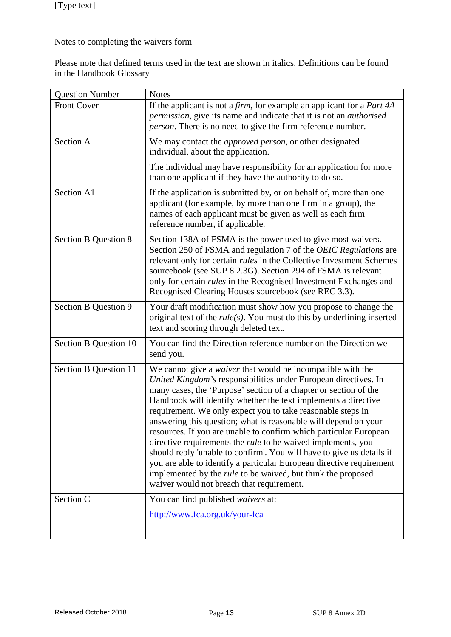Notes to completing the waivers form

Please note that defined terms used in the text are shown in italics. Definitions can be found in the Handbook Glossary

| <b>Question Number</b>      | <b>Notes</b>                                                                                                                                                                                                                                                                                                                                                                                                                                                                                                                                                                                                                                                                                                                                                                                                                   |
|-----------------------------|--------------------------------------------------------------------------------------------------------------------------------------------------------------------------------------------------------------------------------------------------------------------------------------------------------------------------------------------------------------------------------------------------------------------------------------------------------------------------------------------------------------------------------------------------------------------------------------------------------------------------------------------------------------------------------------------------------------------------------------------------------------------------------------------------------------------------------|
| <b>Front Cover</b>          | If the applicant is not a <i>firm</i> , for example an applicant for a <i>Part 4A</i><br>permission, give its name and indicate that it is not an <i>authorised</i><br><i>person</i> . There is no need to give the firm reference number.                                                                                                                                                                                                                                                                                                                                                                                                                                                                                                                                                                                     |
| Section A                   | We may contact the <i>approved person</i> , or other designated<br>individual, about the application.                                                                                                                                                                                                                                                                                                                                                                                                                                                                                                                                                                                                                                                                                                                          |
|                             | The individual may have responsibility for an application for more<br>than one applicant if they have the authority to do so.                                                                                                                                                                                                                                                                                                                                                                                                                                                                                                                                                                                                                                                                                                  |
| Section A1                  | If the application is submitted by, or on behalf of, more than one<br>applicant (for example, by more than one firm in a group), the<br>names of each applicant must be given as well as each firm<br>reference number, if applicable.                                                                                                                                                                                                                                                                                                                                                                                                                                                                                                                                                                                         |
| <b>Section B Question 8</b> | Section 138A of FSMA is the power used to give most waivers.<br>Section 250 of FSMA and regulation 7 of the OEIC Regulations are<br>relevant only for certain <i>rules</i> in the Collective Investment Schemes<br>sourcebook (see SUP 8.2.3G). Section 294 of FSMA is relevant<br>only for certain <i>rules</i> in the Recognised Investment Exchanges and<br>Recognised Clearing Houses sourcebook (see REC 3.3).                                                                                                                                                                                                                                                                                                                                                                                                            |
| Section B Question 9        | Your draft modification must show how you propose to change the<br>original text of the $rule(s)$ . You must do this by underlining inserted<br>text and scoring through deleted text.                                                                                                                                                                                                                                                                                                                                                                                                                                                                                                                                                                                                                                         |
| Section B Question 10       | You can find the Direction reference number on the Direction we<br>send you.                                                                                                                                                                                                                                                                                                                                                                                                                                                                                                                                                                                                                                                                                                                                                   |
| Section B Question 11       | We cannot give a <i>waiver</i> that would be incompatible with the<br>United Kingdom's responsibilities under European directives. In<br>many cases, the 'Purpose' section of a chapter or section of the<br>Handbook will identify whether the text implements a directive<br>requirement. We only expect you to take reasonable steps in<br>answering this question; what is reasonable will depend on your<br>resources. If you are unable to confirm which particular European<br>directive requirements the <i>rule</i> to be waived implements, you<br>should reply 'unable to confirm'. You will have to give us details if<br>you are able to identify a particular European directive requirement<br>implemented by the <i>rule</i> to be waived, but think the proposed<br>waiver would not breach that requirement. |
| Section C                   | You can find published waivers at:<br>http://www.fca.org.uk/your-fca                                                                                                                                                                                                                                                                                                                                                                                                                                                                                                                                                                                                                                                                                                                                                           |